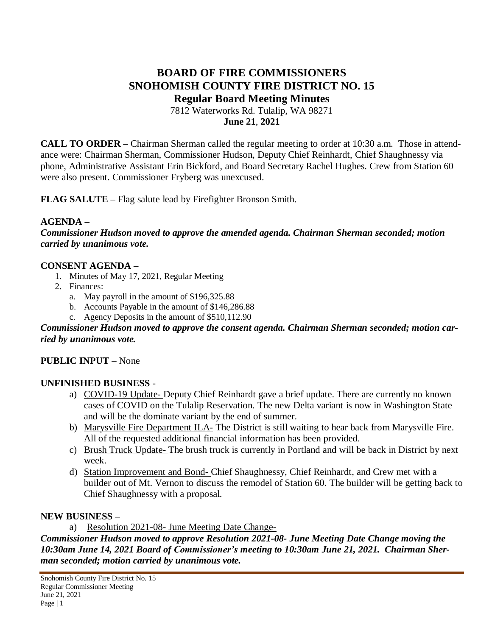# **BOARD OF FIRE COMMISSIONERS SNOHOMISH COUNTY FIRE DISTRICT NO. 15 Regular Board Meeting Minutes**

7812 Waterworks Rd. Tulalip, WA 98271 **June 21**, **2021**

**CALL TO ORDER –** Chairman Sherman called the regular meeting to order at 10:30 a.m. Those in attendance were: Chairman Sherman, Commissioner Hudson, Deputy Chief Reinhardt, Chief Shaughnessy via phone, Administrative Assistant Erin Bickford, and Board Secretary Rachel Hughes. Crew from Station 60 were also present. Commissioner Fryberg was unexcused.

**FLAG SALUTE –** Flag salute lead by Firefighter Bronson Smith.

#### **AGENDA –**

*Commissioner Hudson moved to approve the amended agenda. Chairman Sherman seconded; motion carried by unanimous vote.*

#### **CONSENT AGENDA –**

- 1. Minutes of May 17, 2021, Regular Meeting
- 2. Finances:
	- a. May payroll in the amount of \$196,325.88
	- b. Accounts Payable in the amount of \$146,286.88
	- c. Agency Deposits in the amount of \$510,112.90

#### *Commissioner Hudson moved to approve the consent agenda. Chairman Sherman seconded; motion carried by unanimous vote.*

### **PUBLIC INPUT** – None

#### **UNFINISHED BUSINESS** -

- a) COVID-19 Update- Deputy Chief Reinhardt gave a brief update. There are currently no known cases of COVID on the Tulalip Reservation. The new Delta variant is now in Washington State and will be the dominate variant by the end of summer.
- b) Marysville Fire Department ILA- The District is still waiting to hear back from Marysville Fire. All of the requested additional financial information has been provided.
- c) Brush Truck Update- The brush truck is currently in Portland and will be back in District by next week.
- d) Station Improvement and Bond- Chief Shaughnessy, Chief Reinhardt, and Crew met with a builder out of Mt. Vernon to discuss the remodel of Station 60. The builder will be getting back to Chief Shaughnessy with a proposal.

#### **NEW BUSINESS –**

a) Resolution 2021-08- June Meeting Date Change-

*Commissioner Hudson moved to approve Resolution 2021-08- June Meeting Date Change moving the 10:30am June 14, 2021 Board of Commissioner's meeting to 10:30am June 21, 2021. Chairman Sherman seconded; motion carried by unanimous vote.*